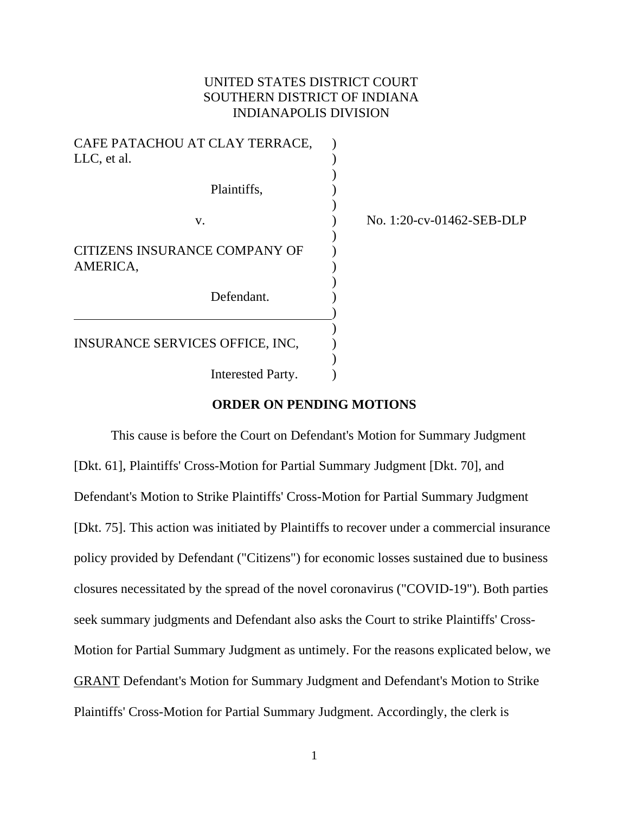# UNITED STATES DISTRICT COURT SOUTHERN DISTRICT OF INDIANA INDIANAPOLIS DIVISION

| CAFE PATACHOU AT CLAY TERRACE,<br>LLC, et al. |                           |
|-----------------------------------------------|---------------------------|
| Plaintiffs,                                   |                           |
| V.                                            | No. 1:20-cv-01462-SEB-DLP |
| CITIZENS INSURANCE COMPANY OF<br>AMERICA,     |                           |
| Defendant.                                    |                           |
| INSURANCE SERVICES OFFICE, INC,               |                           |
| Interested Party.                             |                           |

# **ORDER ON PENDING MOTIONS**

This cause is before the Court on Defendant's Motion for Summary Judgment [Dkt. 61], Plaintiffs' Cross-Motion for Partial Summary Judgment [Dkt. 70], and Defendant's Motion to Strike Plaintiffs' Cross-Motion for Partial Summary Judgment [Dkt. 75]. This action was initiated by Plaintiffs to recover under a commercial insurance policy provided by Defendant ("Citizens") for economic losses sustained due to business closures necessitated by the spread of the novel coronavirus ("COVID-19"). Both parties seek summary judgments and Defendant also asks the Court to strike Plaintiffs' Cross-Motion for Partial Summary Judgment as untimely. For the reasons explicated below, we GRANT Defendant's Motion for Summary Judgment and Defendant's Motion to Strike Plaintiffs' Cross-Motion for Partial Summary Judgment. Accordingly, the clerk is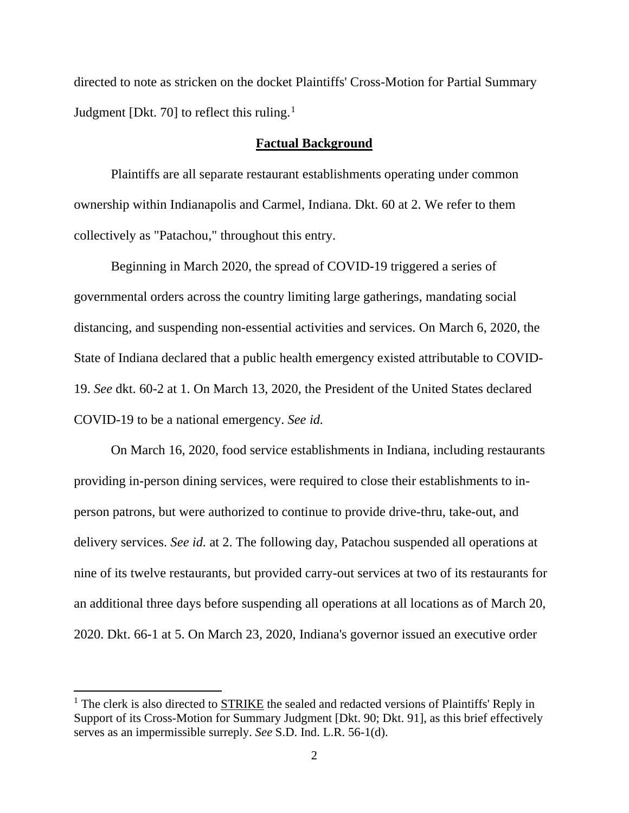directed to note as stricken on the docket Plaintiffs' Cross-Motion for Partial Summary Judgment [Dkt. 70] to reflect this ruling. $<sup>1</sup>$  $<sup>1</sup>$  $<sup>1</sup>$ </sup>

### **Factual Background**

Plaintiffs are all separate restaurant establishments operating under common ownership within Indianapolis and Carmel, Indiana. Dkt. 60 at 2. We refer to them collectively as "Patachou," throughout this entry.

Beginning in March 2020, the spread of COVID-19 triggered a series of governmental orders across the country limiting large gatherings, mandating social distancing, and suspending non-essential activities and services. On March 6, 2020, the State of Indiana declared that a public health emergency existed attributable to COVID-19. *See* dkt. 60-2 at 1. On March 13, 2020, the President of the United States declared COVID-19 to be a national emergency. *See id.* 

On March 16, 2020, food service establishments in Indiana, including restaurants providing in-person dining services, were required to close their establishments to inperson patrons, but were authorized to continue to provide drive-thru, take-out, and delivery services. *See id.* at 2. The following day, Patachou suspended all operations at nine of its twelve restaurants, but provided carry-out services at two of its restaurants for an additional three days before suspending all operations at all locations as of March 20, 2020. Dkt. 66-1 at 5. On March 23, 2020, Indiana's governor issued an executive order

<span id="page-1-0"></span><sup>&</sup>lt;sup>1</sup> The clerk is also directed to STRIKE the sealed and redacted versions of Plaintiffs' Reply in Support of its Cross-Motion for Summary Judgment [Dkt. 90; Dkt. 91], as this brief effectively serves as an impermissible surreply. *See* S.D. Ind. L.R. 56-1(d).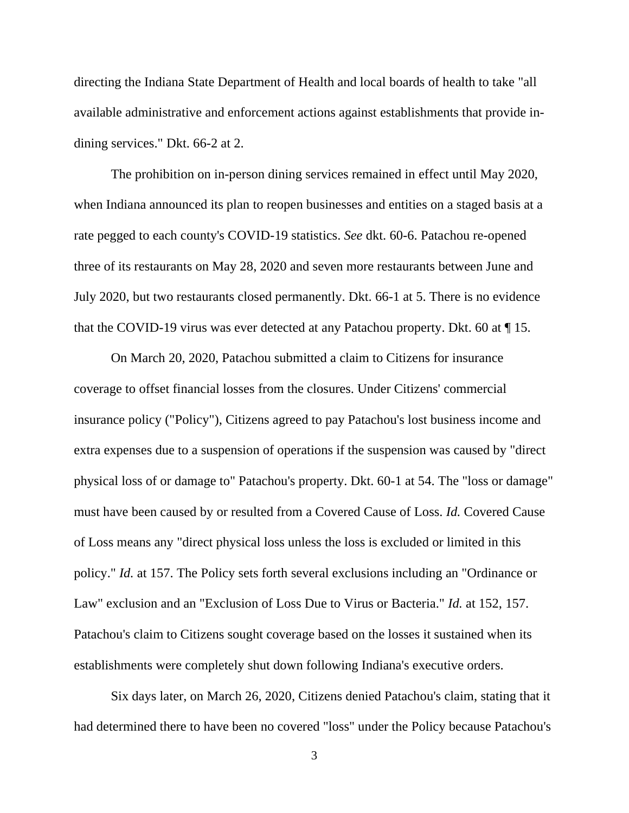directing the Indiana State Department of Health and local boards of health to take "all available administrative and enforcement actions against establishments that provide indining services." Dkt. 66-2 at 2.

The prohibition on in-person dining services remained in effect until May 2020, when Indiana announced its plan to reopen businesses and entities on a staged basis at a rate pegged to each county's COVID-19 statistics. *See* dkt. 60-6. Patachou re-opened three of its restaurants on May 28, 2020 and seven more restaurants between June and July 2020, but two restaurants closed permanently. Dkt. 66-1 at 5. There is no evidence that the COVID-19 virus was ever detected at any Patachou property. Dkt. 60 at ¶ 15.

On March 20, 2020, Patachou submitted a claim to Citizens for insurance coverage to offset financial losses from the closures. Under Citizens' commercial insurance policy ("Policy"), Citizens agreed to pay Patachou's lost business income and extra expenses due to a suspension of operations if the suspension was caused by "direct physical loss of or damage to" Patachou's property. Dkt. 60-1 at 54. The "loss or damage" must have been caused by or resulted from a Covered Cause of Loss. *Id.* Covered Cause of Loss means any "direct physical loss unless the loss is excluded or limited in this policy." *Id.* at 157. The Policy sets forth several exclusions including an "Ordinance or Law" exclusion and an "Exclusion of Loss Due to Virus or Bacteria." *Id.* at 152, 157. Patachou's claim to Citizens sought coverage based on the losses it sustained when its establishments were completely shut down following Indiana's executive orders.

Six days later, on March 26, 2020, Citizens denied Patachou's claim, stating that it had determined there to have been no covered "loss" under the Policy because Patachou's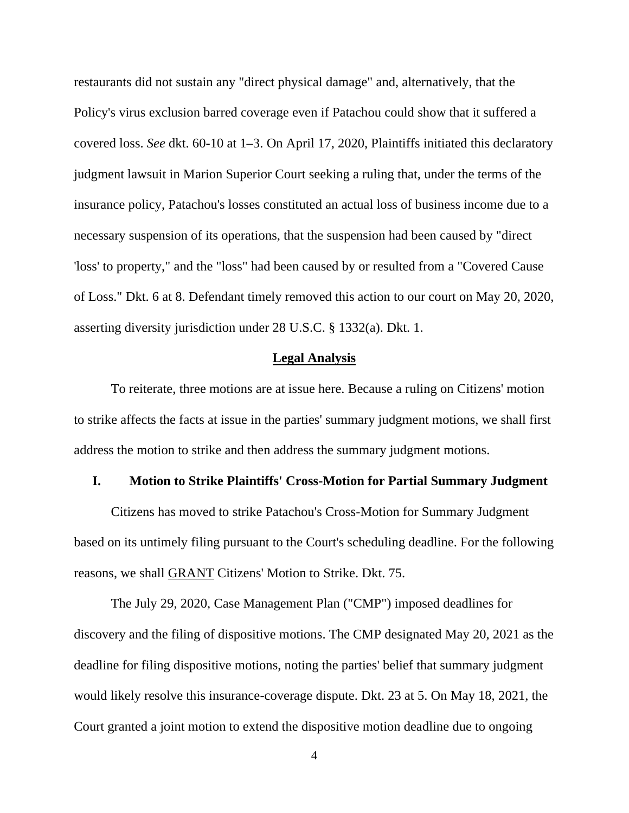restaurants did not sustain any "direct physical damage" and, alternatively, that the Policy's virus exclusion barred coverage even if Patachou could show that it suffered a covered loss. *See* dkt. 60-10 at 1–3. On April 17, 2020, Plaintiffs initiated this declaratory judgment lawsuit in Marion Superior Court seeking a ruling that, under the terms of the insurance policy, Patachou's losses constituted an actual loss of business income due to a necessary suspension of its operations, that the suspension had been caused by "direct 'loss' to property," and the "loss" had been caused by or resulted from a "Covered Cause of Loss." Dkt. 6 at 8. Defendant timely removed this action to our court on May 20, 2020, asserting diversity jurisdiction under 28 U.S.C. § 1332(a). Dkt. 1.

#### **Legal Analysis**

To reiterate, three motions are at issue here. Because a ruling on Citizens' motion to strike affects the facts at issue in the parties' summary judgment motions, we shall first address the motion to strike and then address the summary judgment motions.

#### **I. Motion to Strike Plaintiffs' Cross-Motion for Partial Summary Judgment**

Citizens has moved to strike Patachou's Cross-Motion for Summary Judgment based on its untimely filing pursuant to the Court's scheduling deadline. For the following reasons, we shall GRANT Citizens' Motion to Strike. Dkt. 75.

The July 29, 2020, Case Management Plan ("CMP") imposed deadlines for discovery and the filing of dispositive motions. The CMP designated May 20, 2021 as the deadline for filing dispositive motions, noting the parties' belief that summary judgment would likely resolve this insurance-coverage dispute. Dkt. 23 at 5. On May 18, 2021, the Court granted a joint motion to extend the dispositive motion deadline due to ongoing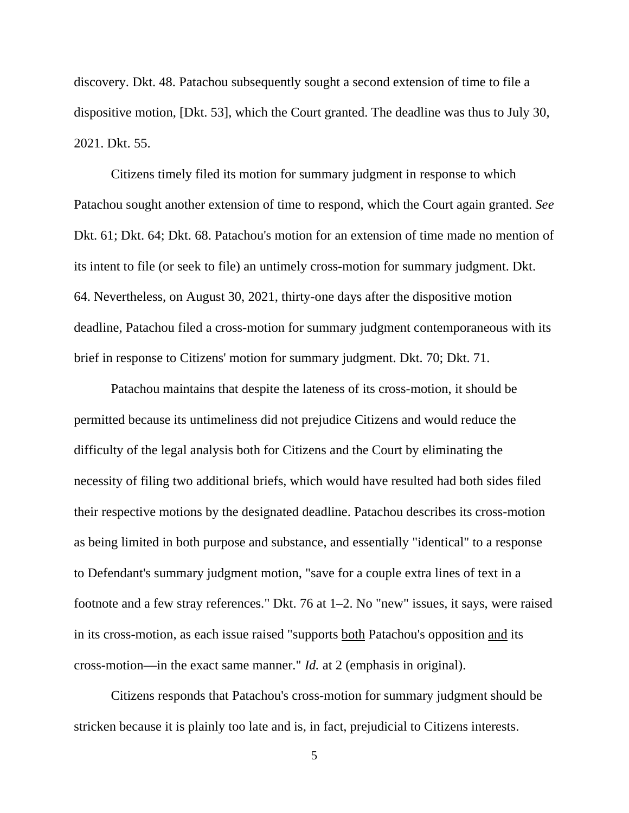discovery. Dkt. 48. Patachou subsequently sought a second extension of time to file a dispositive motion, [Dkt. 53], which the Court granted. The deadline was thus to July 30, 2021. Dkt. 55.

Citizens timely filed its motion for summary judgment in response to which Patachou sought another extension of time to respond, which the Court again granted. *See* Dkt. 61; Dkt. 64; Dkt. 68. Patachou's motion for an extension of time made no mention of its intent to file (or seek to file) an untimely cross-motion for summary judgment. Dkt. 64. Nevertheless, on August 30, 2021, thirty-one days after the dispositive motion deadline, Patachou filed a cross-motion for summary judgment contemporaneous with its brief in response to Citizens' motion for summary judgment. Dkt. 70; Dkt. 71.

Patachou maintains that despite the lateness of its cross-motion, it should be permitted because its untimeliness did not prejudice Citizens and would reduce the difficulty of the legal analysis both for Citizens and the Court by eliminating the necessity of filing two additional briefs, which would have resulted had both sides filed their respective motions by the designated deadline. Patachou describes its cross-motion as being limited in both purpose and substance, and essentially "identical" to a response to Defendant's summary judgment motion, "save for a couple extra lines of text in a footnote and a few stray references." Dkt. 76 at 1–2. No "new" issues, it says, were raised in its cross-motion, as each issue raised "supports both Patachou's opposition and its cross-motion—in the exact same manner." *Id.* at 2 (emphasis in original).

Citizens responds that Patachou's cross-motion for summary judgment should be stricken because it is plainly too late and is, in fact, prejudicial to Citizens interests.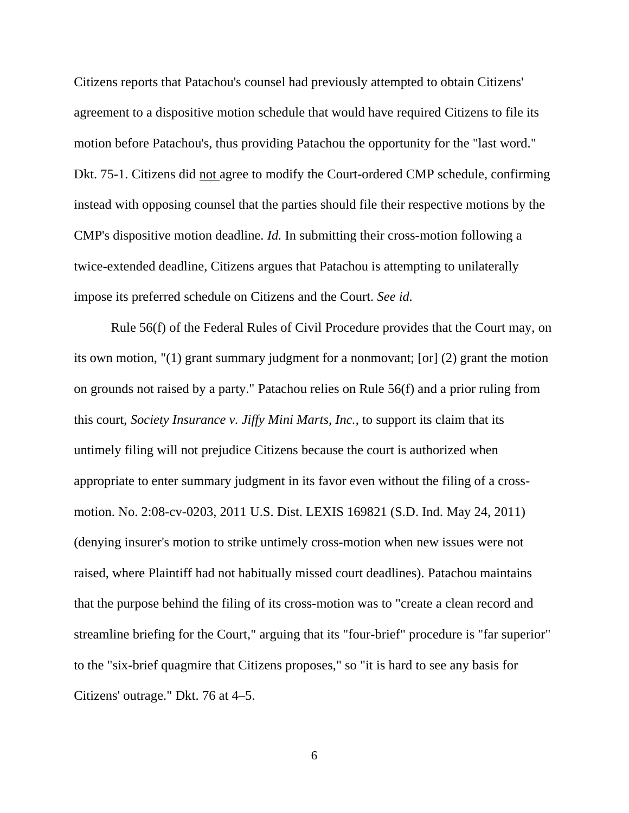Citizens reports that Patachou's counsel had previously attempted to obtain Citizens' agreement to a dispositive motion schedule that would have required Citizens to file its motion before Patachou's, thus providing Patachou the opportunity for the "last word." Dkt. 75-1. Citizens did not agree to modify the Court-ordered CMP schedule, confirming instead with opposing counsel that the parties should file their respective motions by the CMP's dispositive motion deadline. *Id.* In submitting their cross-motion following a twice-extended deadline, Citizens argues that Patachou is attempting to unilaterally impose its preferred schedule on Citizens and the Court. *See id.*

Rule 56(f) of the Federal Rules of Civil Procedure provides that the Court may, on its own motion, "(1) grant summary judgment for a nonmovant; [or] (2) grant the motion on grounds not raised by a party." Patachou relies on Rule 56(f) and a prior ruling from this court, *Society Insurance v. Jiffy Mini Marts, Inc.*, to support its claim that its untimely filing will not prejudice Citizens because the court is authorized when appropriate to enter summary judgment in its favor even without the filing of a crossmotion. No. 2:08-cv-0203, 2011 U.S. Dist. LEXIS 169821 (S.D. Ind. May 24, 2011) (denying insurer's motion to strike untimely cross-motion when new issues were not raised, where Plaintiff had not habitually missed court deadlines). Patachou maintains that the purpose behind the filing of its cross-motion was to "create a clean record and streamline briefing for the Court," arguing that its "four-brief" procedure is "far superior" to the "six-brief quagmire that Citizens proposes," so "it is hard to see any basis for Citizens' outrage." Dkt. 76 at 4–5.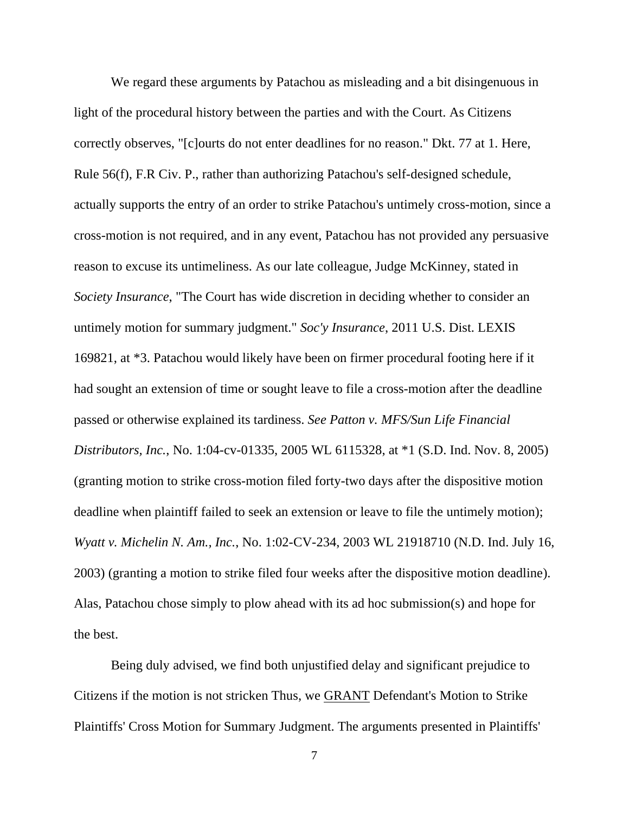We regard these arguments by Patachou as misleading and a bit disingenuous in light of the procedural history between the parties and with the Court. As Citizens correctly observes, "[c]ourts do not enter deadlines for no reason." Dkt. 77 at 1. Here, Rule 56(f), F.R Civ. P., rather than authorizing Patachou's self-designed schedule, actually supports the entry of an order to strike Patachou's untimely cross-motion, since a cross-motion is not required, and in any event, Patachou has not provided any persuasive reason to excuse its untimeliness. As our late colleague, Judge McKinney, stated in *Society Insurance*, "The Court has wide discretion in deciding whether to consider an untimely motion for summary judgment." *Soc'y Insurance*, 2011 U.S. Dist. LEXIS 169821, at \*3. Patachou would likely have been on firmer procedural footing here if it had sought an extension of time or sought leave to file a cross-motion after the deadline passed or otherwise explained its tardiness. *See Patton v. MFS/Sun Life Financial Distributors, Inc.*, No. 1:04-cv-01335, 2005 WL 6115328, at \*1 (S.D. Ind. Nov. 8, 2005) (granting motion to strike cross-motion filed forty-two days after the dispositive motion deadline when plaintiff failed to seek an extension or leave to file the untimely motion); *Wyatt v. Michelin N. Am., Inc.*, No. 1:02-CV-234, 2003 WL 21918710 (N.D. Ind. July 16, 2003) (granting a motion to strike filed four weeks after the dispositive motion deadline). Alas, Patachou chose simply to plow ahead with its ad hoc submission(s) and hope for the best.

Being duly advised, we find both unjustified delay and significant prejudice to Citizens if the motion is not stricken Thus, we GRANT Defendant's Motion to Strike Plaintiffs' Cross Motion for Summary Judgment. The arguments presented in Plaintiffs'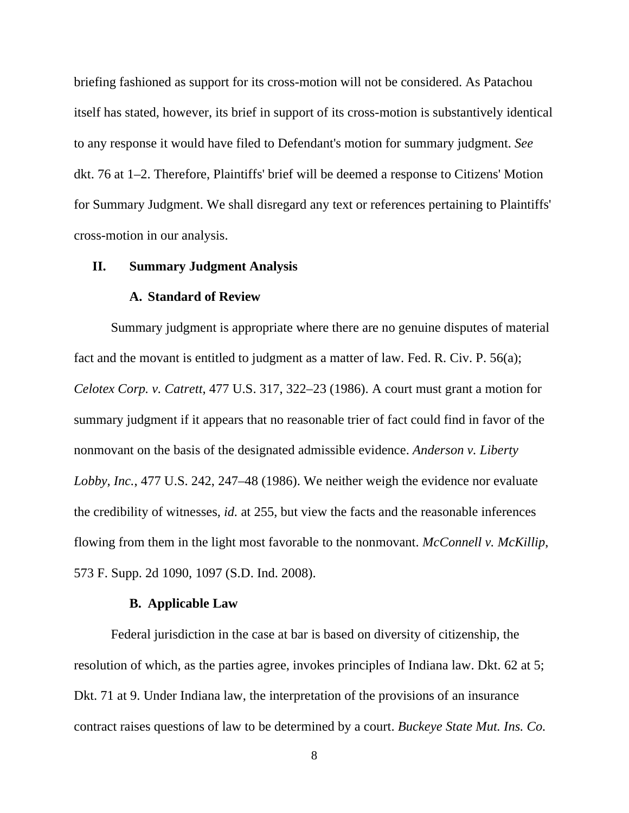briefing fashioned as support for its cross-motion will not be considered. As Patachou itself has stated, however, its brief in support of its cross-motion is substantively identical to any response it would have filed to Defendant's motion for summary judgment. *See* dkt. 76 at 1–2. Therefore, Plaintiffs' brief will be deemed a response to Citizens' Motion for Summary Judgment. We shall disregard any text or references pertaining to Plaintiffs' cross-motion in our analysis.

#### **II. Summary Judgment Analysis**

## **A. Standard of Review**

Summary judgment is appropriate where there are no genuine disputes of material fact and the movant is entitled to judgment as a matter of law. Fed. R. Civ. P. 56(a); *Celotex Corp. v. Catrett*, 477 U.S. 317, 322–23 (1986). A court must grant a motion for summary judgment if it appears that no reasonable trier of fact could find in favor of the nonmovant on the basis of the designated admissible evidence. *Anderson v. Liberty Lobby, Inc.*, 477 U.S. 242, 247–48 (1986). We neither weigh the evidence nor evaluate the credibility of witnesses, *id.* at 255, but view the facts and the reasonable inferences flowing from them in the light most favorable to the nonmovant. *McConnell v. McKillip*, 573 F. Supp. 2d 1090, 1097 (S.D. Ind. 2008).

## **B. Applicable Law**

Federal jurisdiction in the case at bar is based on diversity of citizenship, the resolution of which, as the parties agree, invokes principles of Indiana law. Dkt. 62 at 5; Dkt. 71 at 9. Under Indiana law, the interpretation of the provisions of an insurance contract raises questions of law to be determined by a court. *Buckeye State Mut. Ins. Co.* 

<sup>8</sup>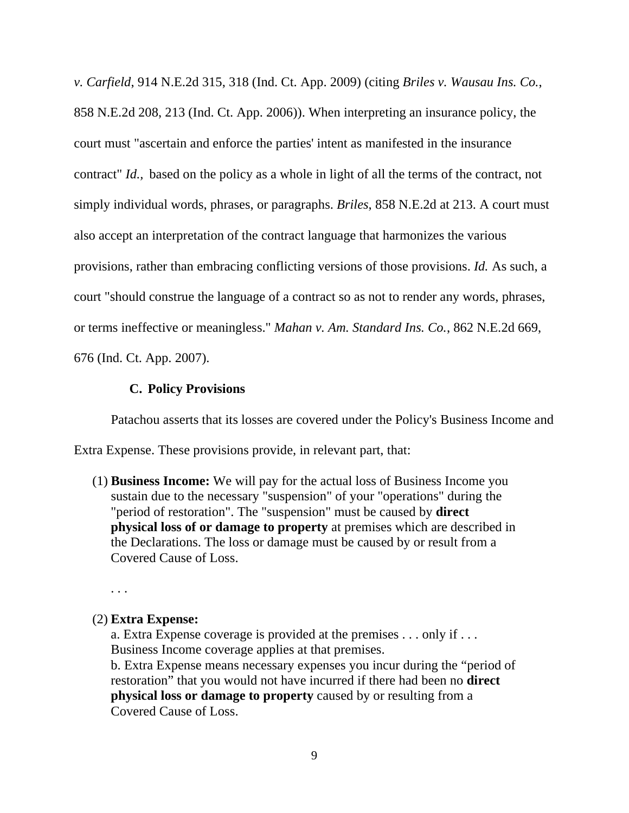*v. Carfield*, 914 N.E.2d 315, 318 (Ind. Ct. App. 2009) (citing *Briles v. Wausau Ins. Co.*, 858 N.E.2d 208, 213 (Ind. Ct. App. 2006)). When interpreting an insurance policy, the court must "ascertain and enforce the parties' intent as manifested in the insurance contract" *Id.,* based on the policy as a whole in light of all the terms of the contract, not simply individual words, phrases, or paragraphs. *Briles*, 858 N.E.2d at 213. A court must also accept an interpretation of the contract language that harmonizes the various provisions, rather than embracing conflicting versions of those provisions. *Id.* As such, a court "should construe the language of a contract so as not to render any words, phrases, or terms ineffective or meaningless." *Mahan v. Am. Standard Ins. Co.*, 862 N.E.2d 669, 676 (Ind. Ct. App. 2007).

# **C. Policy Provisions**

Patachou asserts that its losses are covered under the Policy's Business Income and

Extra Expense. These provisions provide, in relevant part, that:

(1) **Business Income:** We will pay for the actual loss of Business Income you sustain due to the necessary "suspension" of your "operations" during the "period of restoration". The "suspension" must be caused by **direct physical loss of or damage to property** at premises which are described in the Declarations. The loss or damage must be caused by or result from a Covered Cause of Loss.

. . .

## (2) **Extra Expense:**

a. Extra Expense coverage is provided at the premises . . . only if . . . Business Income coverage applies at that premises.

b. Extra Expense means necessary expenses you incur during the "period of restoration" that you would not have incurred if there had been no **direct physical loss or damage to property** caused by or resulting from a Covered Cause of Loss.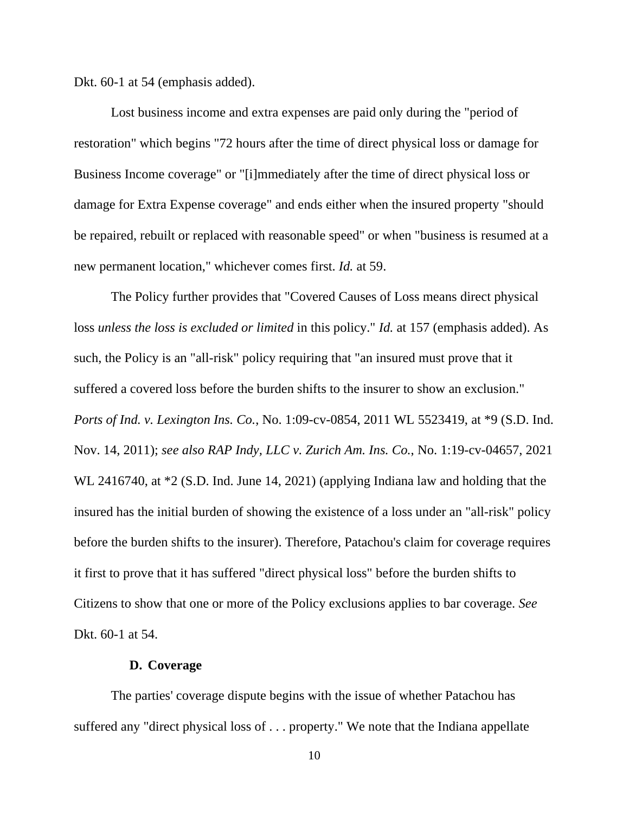Dkt. 60-1 at 54 (emphasis added).

Lost business income and extra expenses are paid only during the "period of restoration" which begins "72 hours after the time of direct physical loss or damage for Business Income coverage" or "[i]mmediately after the time of direct physical loss or damage for Extra Expense coverage" and ends either when the insured property "should be repaired, rebuilt or replaced with reasonable speed" or when "business is resumed at a new permanent location," whichever comes first. *Id.* at 59.

The Policy further provides that "Covered Causes of Loss means direct physical loss *unless the loss is excluded or limited* in this policy." *Id.* at 157 (emphasis added). As such, the Policy is an "all-risk" policy requiring that "an insured must prove that it suffered a covered loss before the burden shifts to the insurer to show an exclusion." *Ports of Ind. v. Lexington Ins. Co.*, No. 1:09-cv-0854, 2011 WL 5523419, at \*9 (S.D. Ind. Nov. 14, 2011); *see also RAP Indy, LLC v. Zurich Am. Ins. Co.*, No. 1:19-cv-04657, 2021 WL 2416740, at  $*2$  (S.D. Ind. June 14, 2021) (applying Indiana law and holding that the insured has the initial burden of showing the existence of a loss under an "all-risk" policy before the burden shifts to the insurer). Therefore, Patachou's claim for coverage requires it first to prove that it has suffered "direct physical loss" before the burden shifts to Citizens to show that one or more of the Policy exclusions applies to bar coverage. *See*  Dkt. 60-1 at 54.

#### **D. Coverage**

The parties' coverage dispute begins with the issue of whether Patachou has suffered any "direct physical loss of . . . property." We note that the Indiana appellate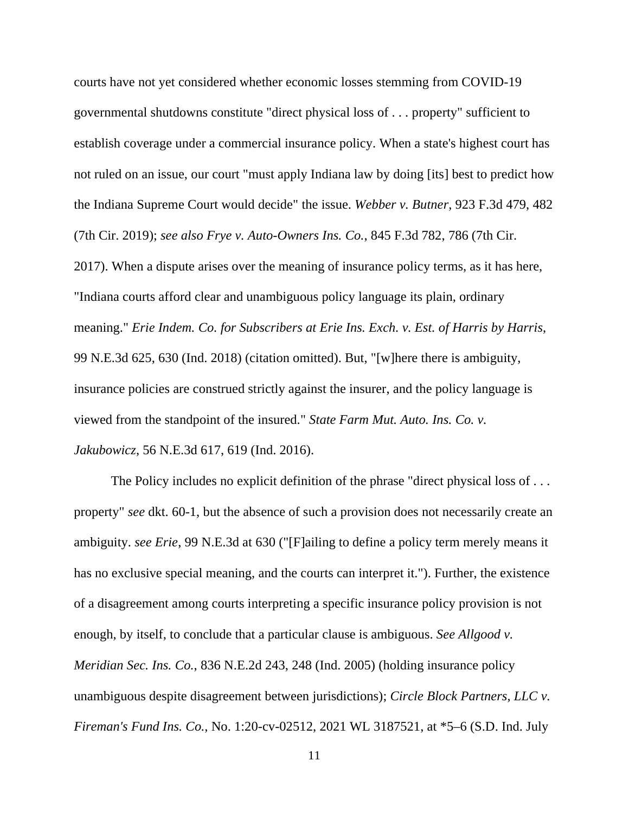courts have not yet considered whether economic losses stemming from COVID-19 governmental shutdowns constitute "direct physical loss of . . . property" sufficient to establish coverage under a commercial insurance policy. When a state's highest court has not ruled on an issue, our court "must apply Indiana law by doing [its] best to predict how the Indiana Supreme Court would decide" the issue. *Webber v. Butner*, 923 F.3d 479, 482 (7th Cir. 2019); *see also Frye v. Auto-Owners Ins. Co.*, 845 F.3d 782, 786 (7th Cir. 2017). When a dispute arises over the meaning of insurance policy terms, as it has here, "Indiana courts afford clear and unambiguous policy language its plain, ordinary meaning." *Erie Indem. Co. for Subscribers at Erie Ins. Exch. v. Est. of Harris by Harris*, 99 N.E.3d 625, 630 (Ind. 2018) (citation omitted). But, "[w]here there is ambiguity, insurance policies are construed strictly against the insurer, and the policy language is viewed from the standpoint of the insured." *State Farm Mut. Auto. Ins. Co. v. Jakubowicz*, 56 N.E.3d 617, 619 (Ind. 2016).

The Policy includes no explicit definition of the phrase "direct physical loss of ... property" *see* dkt. 60-1, but the absence of such a provision does not necessarily create an ambiguity. *see Erie*, 99 N.E.3d at 630 ("[F]ailing to define a policy term merely means it has no exclusive special meaning, and the courts can interpret it."). Further, the existence of a disagreement among courts interpreting a specific insurance policy provision is not enough, by itself, to conclude that a particular clause is ambiguous. *See Allgood v. Meridian Sec. Ins. Co.*, 836 N.E.2d 243, 248 (Ind. 2005) (holding insurance policy unambiguous despite disagreement between jurisdictions); *Circle Block Partners, LLC v. Fireman's Fund Ins. Co.*, No. 1:20-cv-02512, 2021 WL 3187521, at \*5–6 (S.D. Ind. July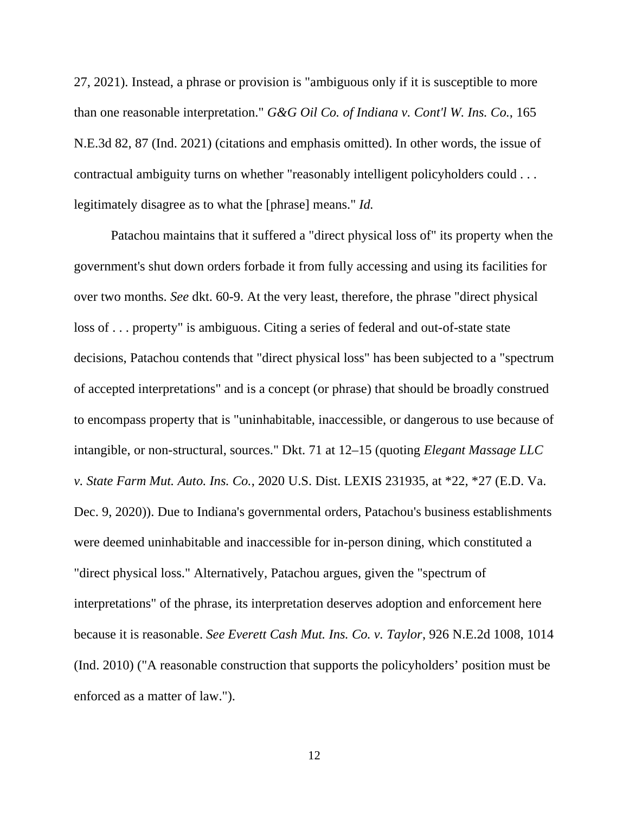27, 2021). Instead, a phrase or provision is "ambiguous only if it is susceptible to more than one reasonable interpretation." *G&G Oil Co. of Indiana v. Cont'l W. Ins. Co.*, 165 N.E.3d 82, 87 (Ind. 2021) (citations and emphasis omitted). In other words, the issue of contractual ambiguity turns on whether "reasonably intelligent policyholders could . . . legitimately disagree as to what the [phrase] means." *Id.* 

Patachou maintains that it suffered a "direct physical loss of" its property when the government's shut down orders forbade it from fully accessing and using its facilities for over two months. *See* dkt. 60-9. At the very least, therefore, the phrase "direct physical loss of . . . property" is ambiguous. Citing a series of federal and out-of-state state decisions, Patachou contends that "direct physical loss" has been subjected to a "spectrum of accepted interpretations" and is a concept (or phrase) that should be broadly construed to encompass property that is "uninhabitable, inaccessible, or dangerous to use because of intangible, or non-structural, sources." Dkt. 71 at 12–15 (quoting *Elegant Massage LLC v. State Farm Mut. Auto. Ins. Co.*, 2020 U.S. Dist. LEXIS 231935, at \*22, \*27 (E.D. Va. Dec. 9, 2020)). Due to Indiana's governmental orders, Patachou's business establishments were deemed uninhabitable and inaccessible for in-person dining, which constituted a "direct physical loss." Alternatively, Patachou argues, given the "spectrum of interpretations" of the phrase, its interpretation deserves adoption and enforcement here because it is reasonable. *See Everett Cash Mut. Ins. Co. v. Taylor*, 926 N.E.2d 1008, 1014 (Ind. 2010) ("A reasonable construction that supports the policyholders' position must be enforced as a matter of law.").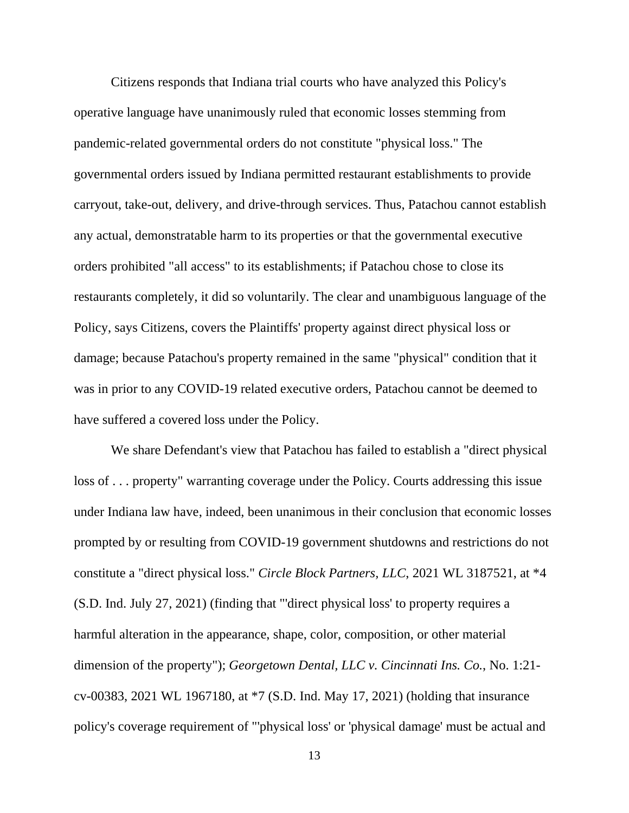Citizens responds that Indiana trial courts who have analyzed this Policy's operative language have unanimously ruled that economic losses stemming from pandemic-related governmental orders do not constitute "physical loss." The governmental orders issued by Indiana permitted restaurant establishments to provide carryout, take-out, delivery, and drive-through services. Thus, Patachou cannot establish any actual, demonstratable harm to its properties or that the governmental executive orders prohibited "all access" to its establishments; if Patachou chose to close its restaurants completely, it did so voluntarily. The clear and unambiguous language of the Policy, says Citizens, covers the Plaintiffs' property against direct physical loss or damage; because Patachou's property remained in the same "physical" condition that it was in prior to any COVID-19 related executive orders, Patachou cannot be deemed to have suffered a covered loss under the Policy.

We share Defendant's view that Patachou has failed to establish a "direct physical loss of . . . property" warranting coverage under the Policy. Courts addressing this issue under Indiana law have, indeed, been unanimous in their conclusion that economic losses prompted by or resulting from COVID-19 government shutdowns and restrictions do not constitute a "direct physical loss." *Circle Block Partners, LLC*, 2021 WL 3187521, at \*4 (S.D. Ind. July 27, 2021) (finding that "'direct physical loss' to property requires a harmful alteration in the appearance, shape, color, composition, or other material dimension of the property"); *Georgetown Dental, LLC v. Cincinnati Ins. Co.*, No. 1:21 cv-00383, 2021 WL 1967180, at \*7 (S.D. Ind. May 17, 2021) (holding that insurance policy's coverage requirement of "'physical loss' or 'physical damage' must be actual and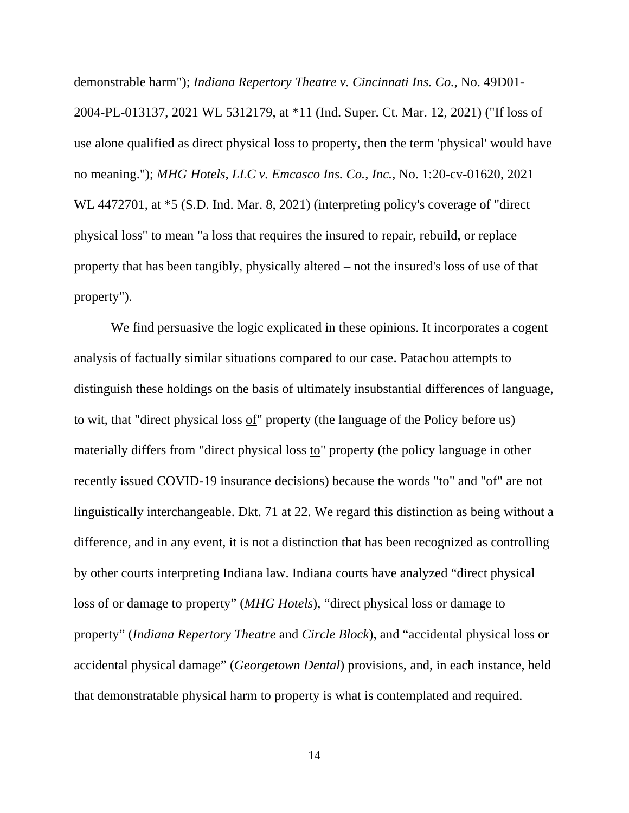demonstrable harm"); *Indiana Repertory Theatre v. Cincinnati Ins. Co.*, No. 49D01- 2004-PL-013137, 2021 WL 5312179, at \*11 (Ind. Super. Ct. Mar. 12, 2021) ("If loss of use alone qualified as direct physical loss to property, then the term 'physical' would have no meaning."); *MHG Hotels, LLC v. Emcasco Ins. Co., Inc.*, No. 1:20-cv-01620, 2021 WL 4472701, at \*5 (S.D. Ind. Mar. 8, 2021) (interpreting policy's coverage of "direct physical loss" to mean "a loss that requires the insured to repair, rebuild, or replace property that has been tangibly, physically altered – not the insured's loss of use of that property").

We find persuasive the logic explicated in these opinions. It incorporates a cogent analysis of factually similar situations compared to our case. Patachou attempts to distinguish these holdings on the basis of ultimately insubstantial differences of language, to wit, that "direct physical loss of" property (the language of the Policy before us) materially differs from "direct physical loss to" property (the policy language in other recently issued COVID-19 insurance decisions) because the words "to" and "of" are not linguistically interchangeable. Dkt. 71 at 22. We regard this distinction as being without a difference, and in any event, it is not a distinction that has been recognized as controlling by other courts interpreting Indiana law. Indiana courts have analyzed "direct physical loss of or damage to property" (*MHG Hotels*), "direct physical loss or damage to property" (*Indiana Repertory Theatre* and *Circle Block*), and "accidental physical loss or accidental physical damage" (*Georgetown Dental*) provisions, and, in each instance, held that demonstratable physical harm to property is what is contemplated and required.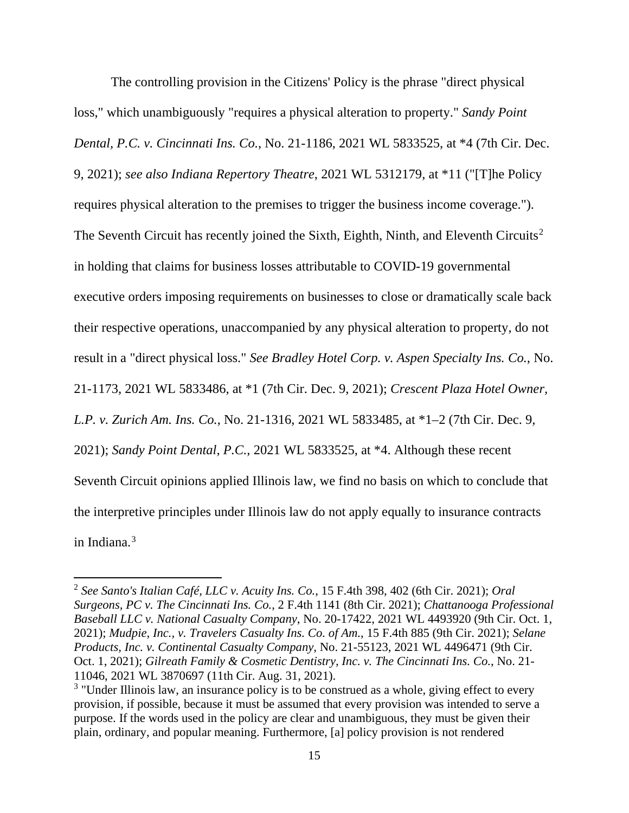The controlling provision in the Citizens' Policy is the phrase "direct physical loss," which unambiguously "requires a physical alteration to property." *Sandy Point Dental, P.C. v. Cincinnati Ins. Co.*, No. 21-1186, 2021 WL 5833525, at \*4 (7th Cir. Dec. 9, 2021); *see also Indiana Repertory Theatre*, 2021 WL 5312179, at \*11 ("[T]he Policy requires physical alteration to the premises to trigger the business income coverage."). The Seventh Circuit has recently joined the Sixth, Eighth, Ninth, and Eleventh Circuits<sup>[2](#page-14-0)</sup> in holding that claims for business losses attributable to COVID-19 governmental executive orders imposing requirements on businesses to close or dramatically scale back their respective operations, unaccompanied by any physical alteration to property, do not result in a "direct physical loss." *See Bradley Hotel Corp. v. Aspen Specialty Ins. Co.*, No. 21-1173, 2021 WL 5833486, at \*1 (7th Cir. Dec. 9, 2021); *Crescent Plaza Hotel Owner, L.P. v. Zurich Am. Ins. Co.*, No. 21-1316, 2021 WL 5833485, at \*1–2 (7th Cir. Dec. 9, 2021); *Sandy Point Dental, P.C.*, 2021 WL 5833525, at \*4. Although these recent Seventh Circuit opinions applied Illinois law, we find no basis on which to conclude that the interpretive principles under Illinois law do not apply equally to insurance contracts in Indiana. [3](#page-14-1)

<span id="page-14-0"></span><sup>2</sup> *See Santo's Italian Café, LLC v. Acuity Ins. Co.*, 15 F.4th 398, 402 (6th Cir. 2021); *Oral Surgeons, PC v. The Cincinnati Ins. Co.*, 2 F.4th 1141 (8th Cir. 2021); *Chattanooga Professional Baseball LLC v. National Casualty Company*, No. 20-17422, 2021 WL 4493920 (9th Cir. Oct. 1, 2021); *Mudpie, Inc., v. Travelers Casualty Ins. Co. of Am.*, 15 F.4th 885 (9th Cir. 2021); *Selane Products, Inc. v. Continental Casualty Company*, No. 21-55123, 2021 WL 4496471 (9th Cir. Oct. 1, 2021); *Gilreath Family & Cosmetic Dentistry, Inc. v. The Cincinnati Ins. Co.*, No. 21- 11046, 2021 WL 3870697 (11th Cir. Aug. 31, 2021).<br><sup>3</sup> "Under Illinois law, an insurance policy is to be construed as a whole, giving effect to every

<span id="page-14-1"></span>provision, if possible, because it must be assumed that every provision was intended to serve a purpose. If the words used in the policy are clear and unambiguous, they must be given their plain, ordinary, and popular meaning. Furthermore, [a] policy provision is not rendered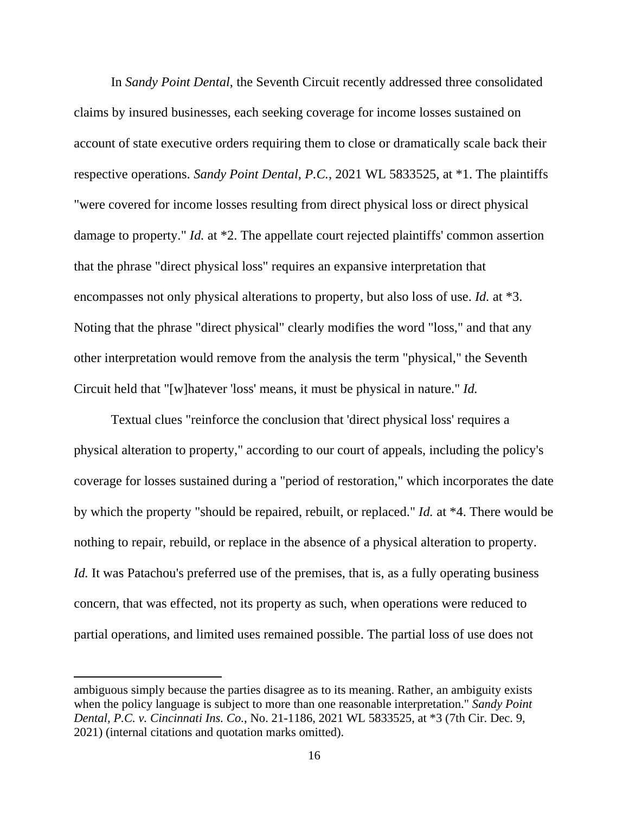In *Sandy Point Dental*, the Seventh Circuit recently addressed three consolidated claims by insured businesses, each seeking coverage for income losses sustained on account of state executive orders requiring them to close or dramatically scale back their respective operations. *Sandy Point Dental, P.C.*, 2021 WL 5833525, at \*1. The plaintiffs "were covered for income losses resulting from direct physical loss or direct physical damage to property." *Id.* at \*2. The appellate court rejected plaintiffs' common assertion that the phrase "direct physical loss" requires an expansive interpretation that encompasses not only physical alterations to property, but also loss of use. *Id.* at \*3. Noting that the phrase "direct physical" clearly modifies the word "loss," and that any other interpretation would remove from the analysis the term "physical," the Seventh Circuit held that "[w]hatever 'loss' means, it must be physical in nature." *Id.*

Textual clues "reinforce the conclusion that 'direct physical loss' requires a physical alteration to property," according to our court of appeals, including the policy's coverage for losses sustained during a "period of restoration," which incorporates the date by which the property "should be repaired, rebuilt, or replaced." *Id.* at \*4. There would be nothing to repair, rebuild, or replace in the absence of a physical alteration to property. *Id.* It was Patachou's preferred use of the premises, that is, as a fully operating business concern, that was effected, not its property as such, when operations were reduced to partial operations, and limited uses remained possible. The partial loss of use does not

ambiguous simply because the parties disagree as to its meaning. Rather, an ambiguity exists when the policy language is subject to more than one reasonable interpretation." *Sandy Point Dental, P.C. v. Cincinnati Ins. Co.*, No. 21-1186, 2021 WL 5833525, at \*3 (7th Cir. Dec. 9, 2021) (internal citations and quotation marks omitted).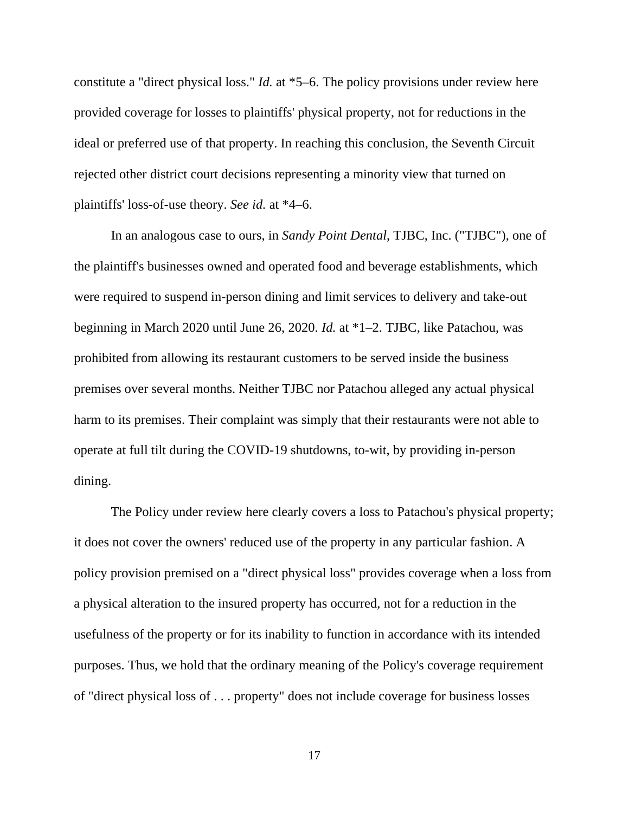constitute a "direct physical loss." *Id.* at \*5–6. The policy provisions under review here provided coverage for losses to plaintiffs' physical property, not for reductions in the ideal or preferred use of that property. In reaching this conclusion, the Seventh Circuit rejected other district court decisions representing a minority view that turned on plaintiffs' loss-of-use theory. *See id.* at \*4–6.

In an analogous case to ours, in *Sandy Point Dental*, TJBC, Inc. ("TJBC"), one of the plaintiff's businesses owned and operated food and beverage establishments, which were required to suspend in-person dining and limit services to delivery and take-out beginning in March 2020 until June 26, 2020. *Id.* at \*1–2. TJBC, like Patachou, was prohibited from allowing its restaurant customers to be served inside the business premises over several months. Neither TJBC nor Patachou alleged any actual physical harm to its premises. Their complaint was simply that their restaurants were not able to operate at full tilt during the COVID-19 shutdowns, to-wit, by providing in-person dining.

The Policy under review here clearly covers a loss to Patachou's physical property; it does not cover the owners' reduced use of the property in any particular fashion. A policy provision premised on a "direct physical loss" provides coverage when a loss from a physical alteration to the insured property has occurred, not for a reduction in the usefulness of the property or for its inability to function in accordance with its intended purposes. Thus, we hold that the ordinary meaning of the Policy's coverage requirement of "direct physical loss of . . . property" does not include coverage for business losses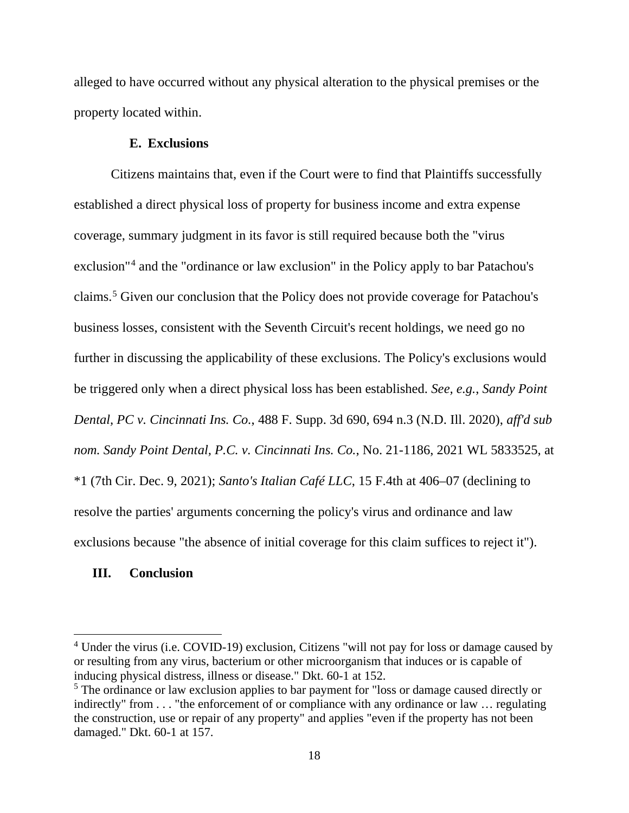alleged to have occurred without any physical alteration to the physical premises or the property located within.

# **E. Exclusions**

Citizens maintains that, even if the Court were to find that Plaintiffs successfully established a direct physical loss of property for business income and extra expense coverage, summary judgment in its favor is still required because both the "virus exclusion"[4](#page-17-0) and the "ordinance or law exclusion" in the Policy apply to bar Patachou's claims.[5](#page-17-1) Given our conclusion that the Policy does not provide coverage for Patachou's business losses, consistent with the Seventh Circuit's recent holdings, we need go no further in discussing the applicability of these exclusions. The Policy's exclusions would be triggered only when a direct physical loss has been established. *See, e.g.*, *Sandy Point Dental, PC v. Cincinnati Ins. Co.*, 488 F. Supp. 3d 690, 694 n.3 (N.D. Ill. 2020), *aff'd sub nom. Sandy Point Dental, P.C. v. Cincinnati Ins. Co.*, No. 21-1186, 2021 WL 5833525, at \*1 (7th Cir. Dec. 9, 2021); *Santo's Italian Café LLC*, 15 F.4th at 406–07 (declining to resolve the parties' arguments concerning the policy's virus and ordinance and law exclusions because "the absence of initial coverage for this claim suffices to reject it").

# **III. Conclusion**

<span id="page-17-0"></span><sup>&</sup>lt;sup>4</sup> Under the virus (i.e. COVID-19) exclusion, Citizens "will not pay for loss or damage caused by or resulting from any virus, bacterium or other microorganism that induces or is capable of inducing physical distress, illness or disease." Dkt. 60-1 at 152.

<span id="page-17-1"></span> $<sup>5</sup>$  The ordinance or law exclusion applies to bar payment for "loss or damage caused directly or</sup> indirectly" from . . . "the enforcement of or compliance with any ordinance or law ... regulating the construction, use or repair of any property" and applies "even if the property has not been damaged." Dkt. 60-1 at 157.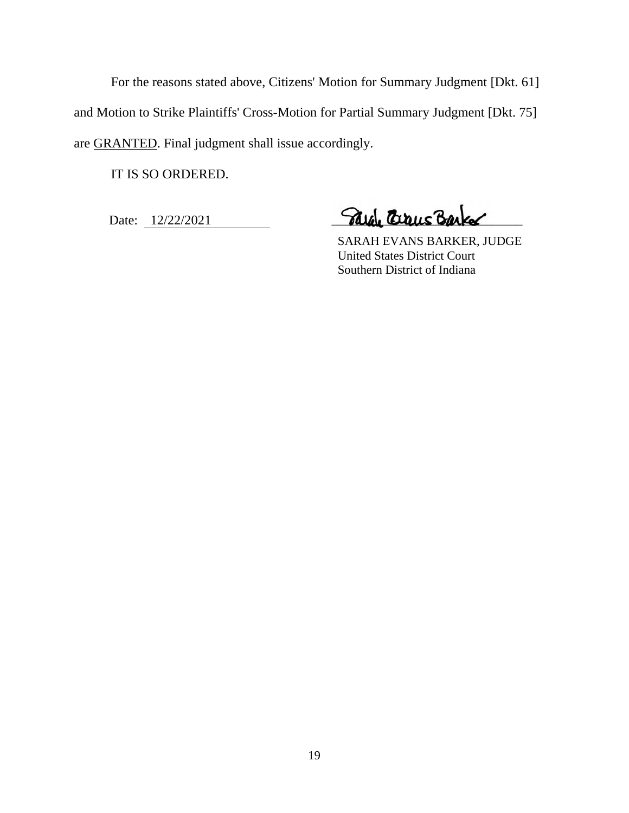For the reasons stated above, Citizens' Motion for Summary Judgment [Dkt. 61] and Motion to Strike Plaintiffs' Cross-Motion for Partial Summary Judgment [Dkt. 75] are GRANTED. Final judgment shall issue accordingly.

IT IS SO ORDERED.

Date: 12/22/2021 **Alge Craig Barker** 

 SARAH EVANS BARKER, JUDGE United States District Court Southern District of Indiana